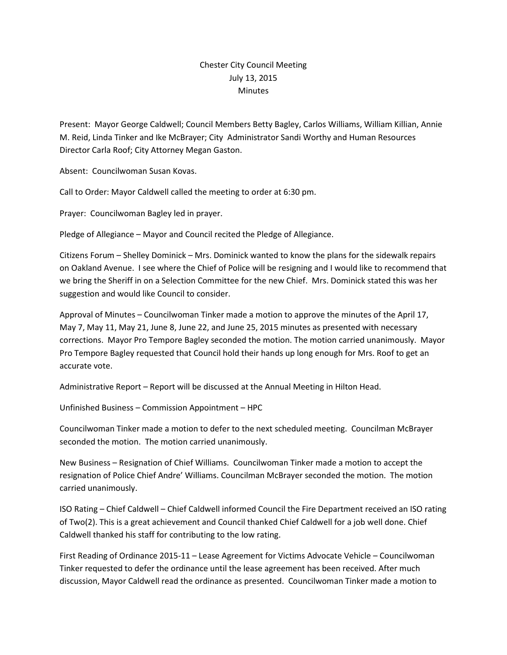## Chester City Council Meeting July 13, 2015 **Minutes**

Present: Mayor George Caldwell; Council Members Betty Bagley, Carlos Williams, William Killian, Annie M. Reid, Linda Tinker and Ike McBrayer; City Administrator Sandi Worthy and Human Resources Director Carla Roof; City Attorney Megan Gaston.

Absent: Councilwoman Susan Kovas.

Call to Order: Mayor Caldwell called the meeting to order at 6:30 pm.

Prayer: Councilwoman Bagley led in prayer.

Pledge of Allegiance – Mayor and Council recited the Pledge of Allegiance.

Citizens Forum – Shelley Dominick – Mrs. Dominick wanted to know the plans for the sidewalk repairs on Oakland Avenue. I see where the Chief of Police will be resigning and I would like to recommend that we bring the Sheriff in on a Selection Committee for the new Chief. Mrs. Dominick stated this was her suggestion and would like Council to consider.

Approval of Minutes – Councilwoman Tinker made a motion to approve the minutes of the April 17, May 7, May 11, May 21, June 8, June 22, and June 25, 2015 minutes as presented with necessary corrections. Mayor Pro Tempore Bagley seconded the motion. The motion carried unanimously. Mayor Pro Tempore Bagley requested that Council hold their hands up long enough for Mrs. Roof to get an accurate vote.

Administrative Report – Report will be discussed at the Annual Meeting in Hilton Head.

Unfinished Business – Commission Appointment – HPC

Councilwoman Tinker made a motion to defer to the next scheduled meeting. Councilman McBrayer seconded the motion. The motion carried unanimously.

New Business – Resignation of Chief Williams. Councilwoman Tinker made a motion to accept the resignation of Police Chief Andre' Williams. Councilman McBrayer seconded the motion. The motion carried unanimously.

ISO Rating – Chief Caldwell – Chief Caldwell informed Council the Fire Department received an ISO rating of Two(2). This is a great achievement and Council thanked Chief Caldwell for a job well done. Chief Caldwell thanked his staff for contributing to the low rating.

First Reading of Ordinance 2015-11 – Lease Agreement for Victims Advocate Vehicle – Councilwoman Tinker requested to defer the ordinance until the lease agreement has been received. After much discussion, Mayor Caldwell read the ordinance as presented. Councilwoman Tinker made a motion to